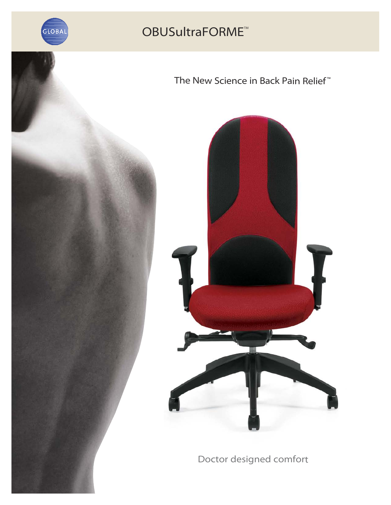

### The New Science in Back Pain Relief<sup>™</sup>



Doctor designed comfort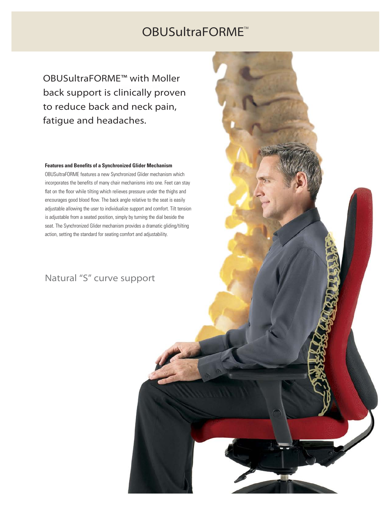OBUSultraFORME™ with Moller back support is clinically proven to reduce back and neck pain, fatigue and headaches.

### **Features and Benefits of a Synchronized Glider Mechanism**

OBUSultraFORME features a new Synchronized Glider mechanism which incorporates the benefits of many chair mechanisms into one. Feet can stay flat on the floor while tilting which relieves pressure under the thighs and encourages good blood flow. The back angle relative to the seat is easily adjustable allowing the user to individualize support and comfort. Tilt tension is adjustable from a seated position, simply by turning the dial beside the seat. The Synchronized Glider mechanism provides a dramatic gliding/tilting action, setting the standard for seating comfort and adjustability.

### Natural "S" curve support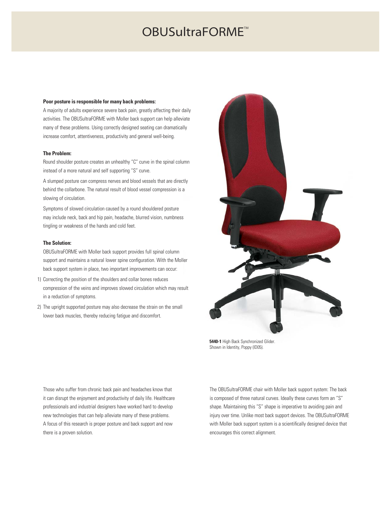### OBUSultraFORME™

### **Poor posture is responsible for many back problems:**

A majority of adults experience severe back pain, greatly affecting their daily activities. The OBUSultraFORME with Moller back support can help alleviate many of these problems. Using correctly designed seating can dramatically increase comfort, attentiveness, productivity and general well-being.

### **The Problem:**

Round shoulder posture creates an unhealthy "C" curve in the spinal column instead of a more natural and self supporting "S" curve.

A slumped posture can compress nerves and blood vessels that are directly behind the collarbone. The natural result of blood vessel compression is a slowing of circulation.

Symptoms of slowed circulation caused by a round shouldered posture may include neck, back and hip pain, headache, blurred vision, numbness tingling or weakness of the hands and cold feet.

### **The Solution:**

OBUSultraFORME with Moller back support provides full spinal column support and maintains a natural lower spine configuration. With the Moller back support system in place, two important improvements can occur:

- 1) Correcting the position of the shoulders and collar bones reduces compression of the veins and improves slowed circulation which may result in a reduction of symptoms.
- 2) The upright supported posture may also decrease the strain on the small lower back muscles, thereby reducing fatigue and discomfort.



**5440-1** High Back Synchronized Glider. Shown in Identity, Poppy (ID05).

Those who suffer from chronic back pain and headaches know that it can disrupt the enjoyment and productivity of daily life. Healthcare professionals and industrial designers have worked hard to develop new technologies that can help alleviate many of these problems. A focus of this research is proper posture and back support and now there is a proven solution.

The OBUSultraFORME chair with Moller back support system: The back is composed of three natural curves. Ideally these curves form an "S" shape. Maintaining this "S" shape is imperative to avoiding pain and injury over time. Unlike most back support devices. The OBUSultraFORME with Moller back support system is a scientifically designed device that encourages this correct alignment.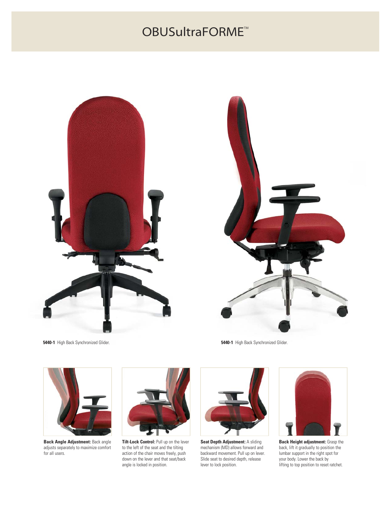



**5440-1** High Back Synchronized Glider. **5440-1** High Back Synchronized Glider.



**Back Angle Adjustment:** Back angle adjusts separately to maximize comfort for all users.



**Tilt-Lock Control:** Pull up on the lever to the left of the seat and the tilting action of the chair moves freely, push down on the lever and that seat/back angle is locked in position.



**Seat Depth Adjustment:** A sliding mechanism (MD) allows forward and backward movement. Pull up on lever. Slide seat to desired depth, release lever to lock position.



**Back Height adjustment:** Grasp the back, lift it gradually to position the lumbar support in the right spot for your body. Lower the back by lifting to top position to reset ratchet.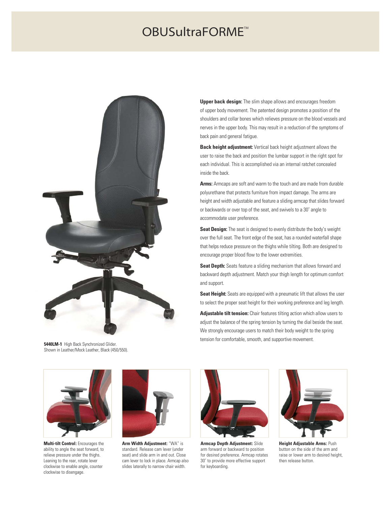

**5440LM-1** High Back Synchronized Glider. Shown in Leather/Mock Leather, Black (450/550).

**Upper back design:** The slim shape allows and encourages freedom of upper body movement. The patented design promotes a position of the shoulders and collar bones which relieves pressure on the blood vessels and nerves in the upper body. This may result in a reduction of the symptoms of back pain and general fatigue.

**Back height adjustment:** Vertical back height adjustment allows the user to raise the back and position the lumbar support in the right spot for each individual. This is accomplished via an internal ratchet concealed inside the back.

**Arms:** Armcaps are soft and warm to the touch and are made from durable polyurethane that protects furniture from impact damage. The arms are height and width adjustable and feature a sliding armcap that slides forward or backwards or over top of the seat, and swivels to a 30˚ angle to accommodate user preference.

**Seat Design:** The seat is designed to evenly distribute the body's weight over the full seat. The front edge of the seat, has a rounded waterfall shape that helps reduce pressure on the thighs while tilting. Both are designed to encourage proper blood flow to the lower extremities.

**Seat Depth:** Seats feature a sliding mechanism that allows forward and backward depth adjustment. Match your thigh length for optimum comfort and support.

**Seat Height:** Seats are equipped with a pneumatic lift that allows the user to select the proper seat height for their working preference and leg length.

**Adjustable tilt tension:** Chair features tilting action which allow users to adjust the balance of the spring tension by turning the dial beside the seat. We strongly encourage users to match their body weight to the spring tension for comfortable, smooth, and supportive movement.



**Multi-tilt Control:** Encourages the ability to angle the seat forward, to relieve pressure under the thighs. Leaning to the rear, rotate lever clockwise to enable angle, counter clockwise to disengage.



**Arm Width Adjustment:** "WA" is standard. Release cam lever (under seat) and slide arm in and out. Close cam lever to lock in place. Armcap also slides laterally to narrow chair width.



**Armcap Depth Adjustment:** Slide arm forward or backward to position for desired preference. Armcap rotates 30˚ to provide more effective support for keyboarding.



**Height Adjustable Arms:** Push button on the side of the arm and raise or lower arm to desired height then release button.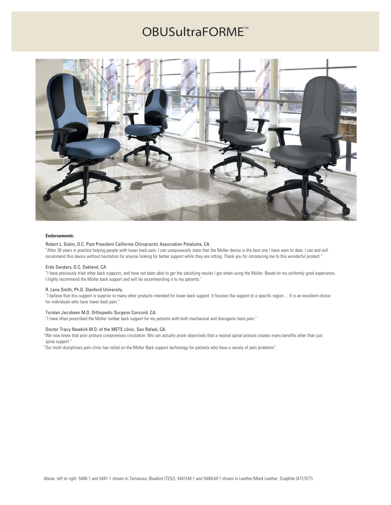

### **Endorsements:**

#### Robert L. Dubin, D.C. Past President California Chiropractic Association Petaluma, CA

"After 30 years in practice helping people with lower back pain, I can unequivocally state that the Moller device is the best one I have seen to date. I can and will recommend this device without hesitation for anyone looking for better support while they are sitting. Thank you for introducing me to this wonderful product."

### Erda Sanders, D.C. Oakland, CA

"I have previously tried other back supports, and have not been able to get the satisfying results I got when using the Moller. Based on my uniformly good experience, I highly recommend the Moller back support and will be recommending it to my patients."

#### R. Lane Smith, Ph.D. Stanford University.

"I believe that this support is superior to many other products intended for lower back support. It focuses the support to a specific region… It is an excellent choice for individuals who have lower back pain."

#### Torsten Jacobsen M.D. Orthopedic Surgeon Concord, CA.

"I have often prescribed the Moller lumbar back support for my patients with both mechanical and discogenic back pain."

### Doctor Tracy Newkirk M.D. of the METS clinic, San Rafael, CA.

"We now know that poor posture compromises circulation. We can actually prove objectively that a neutral spinal posture creates many benefits other than just spine support."

"Our multi-disciplinary pain clinic has relied on the Moller Back support technology for patients who have a variety of pain problems".